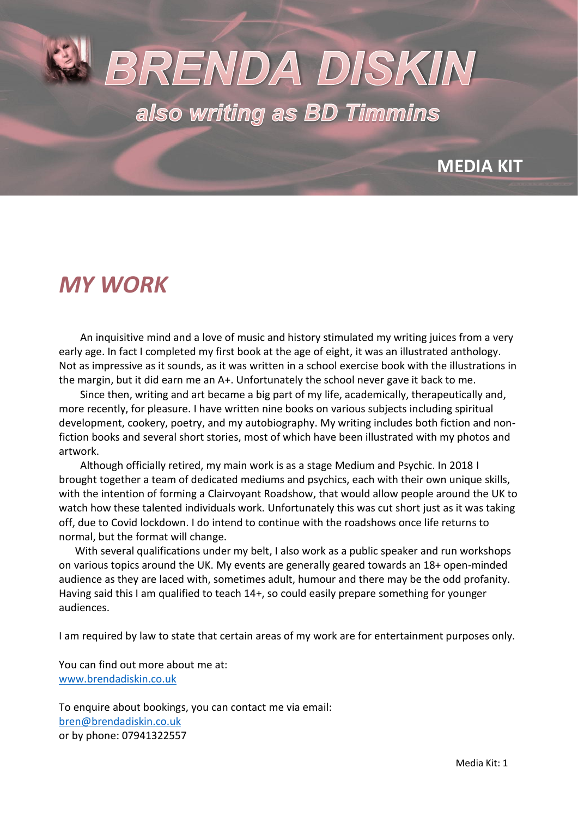# BRENDA DISKIN also writing as BD Timmins

### **MEDIA KIT**

### *MY WORK*

 An inquisitive mind and a love of music and history stimulated my writing juices from a very early age. In fact I completed my first book at the age of eight, it was an illustrated anthology. Not as impressive as it sounds, as it was written in a school exercise book with the illustrations in the margin, but it did earn me an A+. Unfortunately the school never gave it back to me.

 Since then, writing and art became a big part of my life, academically, therapeutically and, more recently, for pleasure. I have written nine books on various subjects including spiritual development, cookery, poetry, and my autobiography. My writing includes both fiction and nonfiction books and several short stories, most of which have been illustrated with my photos and artwork.

 Although officially retired, my main work is as a stage Medium and Psychic. In 2018 I brought together a team of dedicated mediums and psychics, each with their own unique skills, with the intention of forming a Clairvoyant Roadshow, that would allow people around the UK to watch how these talented individuals work. Unfortunately this was cut short just as it was taking off, due to Covid lockdown. I do intend to continue with the roadshows once life returns to normal, but the format will change.

 With several qualifications under my belt, I also work as a public speaker and run workshops on various topics around the UK. My events are generally geared towards an 18+ open-minded audience as they are laced with, sometimes adult, humour and there may be the odd profanity. Having said this I am qualified to teach 14+, so could easily prepare something for younger audiences.

I am required by law to state that certain areas of my work are for entertainment purposes only.

You can find out more about me at: [www.brendadiskin.co.uk](http://www.brendadiskin.co.uk/)

To enquire about bookings, you can contact me via email: [bren@brendadiskin.co.uk](mailto:bren@brendadiskin.co.uk) or by phone: 07941322557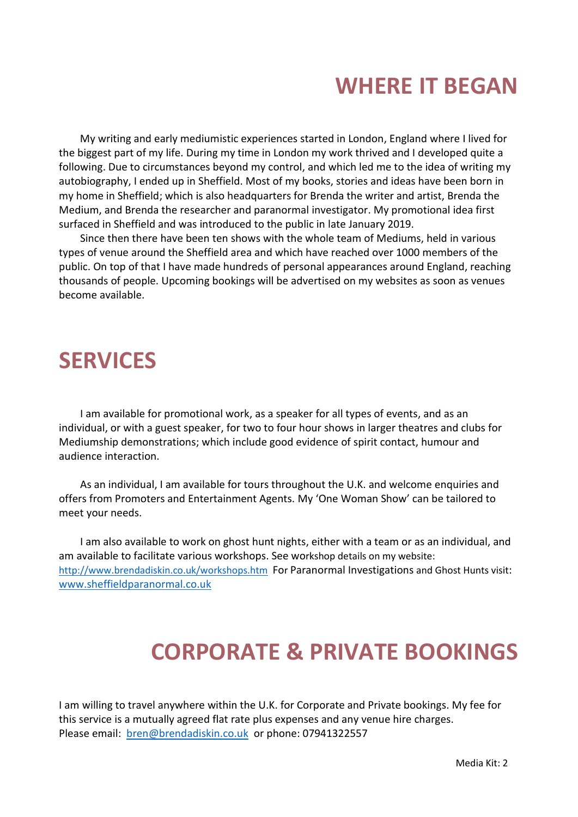### **WHERE IT BEGAN**

 My writing and early mediumistic experiences started in London, England where I lived for the biggest part of my life. During my time in London my work thrived and I developed quite a following. Due to circumstances beyond my control, and which led me to the idea of writing my autobiography, I ended up in Sheffield. Most of my books, stories and ideas have been born in my home in Sheffield; which is also headquarters for Brenda the writer and artist, Brenda the Medium, and Brenda the researcher and paranormal investigator. My promotional idea first surfaced in Sheffield and was introduced to the public in late January 2019.

 Since then there have been ten shows with the whole team of Mediums, held in various types of venue around the Sheffield area and which have reached over 1000 members of the public. On top of that I have made hundreds of personal appearances around England, reaching thousands of people. Upcoming bookings will be advertised on my websites as soon as venues become available.

### **SERVICES**

 I am available for promotional work, as a speaker for all types of events, and as an individual, or with a guest speaker, for two to four hour shows in larger theatres and clubs for Mediumship demonstrations; which include good evidence of spirit contact, humour and audience interaction.

 As an individual, I am available for tours throughout the U.K. and welcome enquiries and offers from Promoters and Entertainment Agents. My 'One Woman Show' can be tailored to meet your needs.

 I am also available to work on ghost hunt nights, either with a team or as an individual, and am available to facilitate various workshops. See workshop details on my website: <http://www.brendadiskin.co.uk/workshops.htm>For Paranormal Investigations and Ghost Hunts visit: [www.sheffieldparanormal.co.uk](http://www.sheffieldparanormal.co.uk/)

### **CORPORATE & PRIVATE BOOKINGS**

I am willing to travel anywhere within the U.K. for Corporate and Private bookings. My fee for this service is a mutually agreed flat rate plus expenses and any venue hire charges. Please email: [bren@brendadiskin.co.uk](mailto:bren@brendadiskin.co.uk) or phone: 07941322557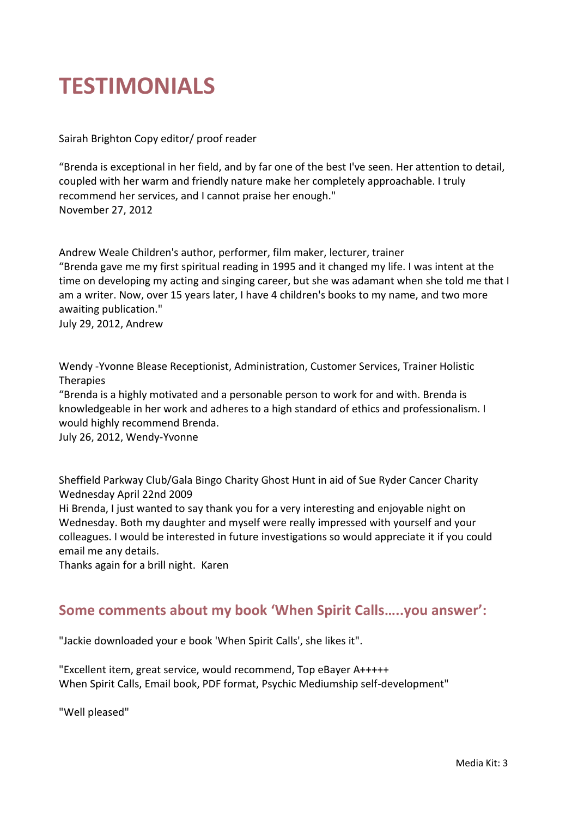### **TESTIMONIALS**

Sairah Brighton Copy editor/ proof reader

"Brenda is exceptional in her field, and by far one of the best I've seen. Her attention to detail, coupled with her warm and friendly nature make her completely approachable. I truly recommend her services, and I cannot praise her enough." November 27, 2012

Andrew Weale Children's author, performer, film maker, lecturer, trainer "Brenda gave me my first spiritual reading in 1995 and it changed my life. I was intent at the time on developing my acting and singing career, but she was adamant when she told me that I am a writer. Now, over 15 years later, I have 4 children's books to my name, and two more awaiting publication."

July 29, 2012, Andrew

Wendy -Yvonne Blease Receptionist, Administration, Customer Services, Trainer Holistic Therapies

"Brenda is a highly motivated and a personable person to work for and with. Brenda is knowledgeable in her work and adheres to a high standard of ethics and professionalism. I would highly recommend Brenda.

July 26, 2012, Wendy-Yvonne

Sheffield Parkway Club/Gala Bingo Charity Ghost Hunt in aid of Sue Ryder Cancer Charity Wednesday April 22nd 2009

Hi Brenda, I just wanted to say thank you for a very interesting and enjoyable night on Wednesday. Both my daughter and myself were really impressed with yourself and your colleagues. I would be interested in future investigations so would appreciate it if you could email me any details.

Thanks again for a brill night. Karen

#### **Some comments about my book 'When Spirit Calls…..you answer':**

"Jackie downloaded your e book 'When Spirit Calls', she likes it".

"Excellent item, great service, would recommend, Top eBayer A+++++ When Spirit Calls, Email book, PDF format, Psychic Mediumship self-development"

"Well pleased"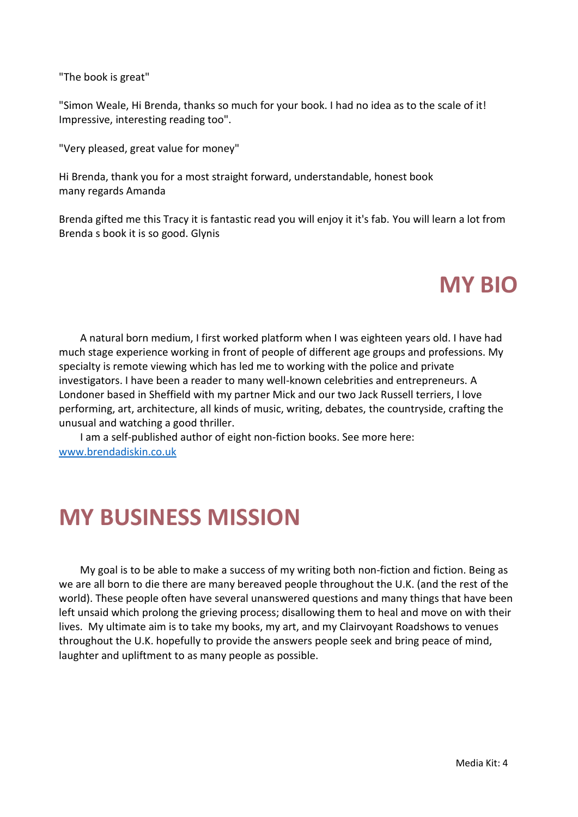"The book is great"

"Simon Weale, Hi Brenda, thanks so much for your book. I had no idea as to the scale of it! Impressive, interesting reading too".

"Very pleased, great value for money"

Hi Brenda, thank you for a most straight forward, understandable, honest book many regards Amanda

Brenda gifted me this Tracy it is fantastic read you will enjoy it it's fab. You will learn a lot from Brenda s book it is so good. Glynis

### **MY BIO**

 A natural born medium, I first worked platform when I was eighteen years old. I have had much stage experience working in front of people of different age groups and professions. My specialty is remote viewing which has led me to working with the police and private investigators. I have been a reader to many well-known celebrities and entrepreneurs. A Londoner based in Sheffield with my partner Mick and our two Jack Russell terriers, I love performing, art, architecture, all kinds of music, writing, debates, the countryside, crafting the unusual and watching a good thriller.

 I am a self-published author of eight non-fiction books. See more here: [www.brendadiskin.co.uk](http://www.brendadiskin.co.uk/)

### **MY BUSINESS MISSION**

 My goal is to be able to make a success of my writing both non-fiction and fiction. Being as we are all born to die there are many bereaved people throughout the U.K. (and the rest of the world). These people often have several unanswered questions and many things that have been left unsaid which prolong the grieving process; disallowing them to heal and move on with their lives. My ultimate aim is to take my books, my art, and my Clairvoyant Roadshows to venues throughout the U.K. hopefully to provide the answers people seek and bring peace of mind, laughter and upliftment to as many people as possible.